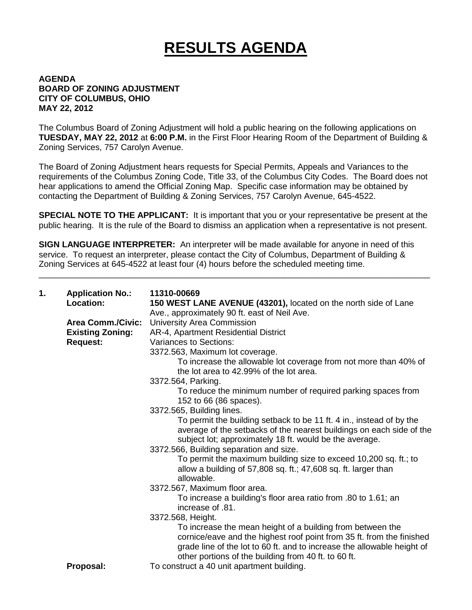## **RESULTS AGENDA**

## **AGENDA BOARD OF ZONING ADJUSTMENT CITY OF COLUMBUS, OHIO MAY 22, 2012**

The Columbus Board of Zoning Adjustment will hold a public hearing on the following applications on **TUESDAY, MAY 22, 2012** at **6:00 P.M.** in the First Floor Hearing Room of the Department of Building & Zoning Services, 757 Carolyn Avenue.

The Board of Zoning Adjustment hears requests for Special Permits, Appeals and Variances to the requirements of the Columbus Zoning Code, Title 33, of the Columbus City Codes. The Board does not hear applications to amend the Official Zoning Map. Specific case information may be obtained by contacting the Department of Building & Zoning Services, 757 Carolyn Avenue, 645-4522.

**SPECIAL NOTE TO THE APPLICANT:** It is important that you or your representative be present at the public hearing. It is the rule of the Board to dismiss an application when a representative is not present.

**SIGN LANGUAGE INTERPRETER:** An interpreter will be made available for anyone in need of this service. To request an interpreter, please contact the City of Columbus, Department of Building & Zoning Services at 645-4522 at least four (4) hours before the scheduled meeting time.

\_\_\_\_\_\_\_\_\_\_\_\_\_\_\_\_\_\_\_\_\_\_\_\_\_\_\_\_\_\_\_\_\_\_\_\_\_\_\_\_\_\_\_\_\_\_\_\_\_\_\_\_\_\_\_\_\_\_\_\_\_\_\_\_\_\_\_\_\_\_\_\_\_\_\_\_\_\_\_\_\_\_\_

| 1. | <b>Application No.:</b>  | 11310-00669                                                             |
|----|--------------------------|-------------------------------------------------------------------------|
|    | Location:                | 150 WEST LANE AVENUE (43201), located on the north side of Lane         |
|    |                          | Ave., approximately 90 ft. east of Neil Ave.                            |
|    | <b>Area Comm./Civic:</b> | University Area Commission                                              |
|    | <b>Existing Zoning:</b>  | AR-4, Apartment Residential District                                    |
|    | <b>Request:</b>          | <b>Variances to Sections:</b>                                           |
|    |                          | 3372.563, Maximum lot coverage.                                         |
|    |                          | To increase the allowable lot coverage from not more than 40% of        |
|    |                          | the lot area to 42.99% of the lot area.                                 |
|    |                          | 3372.564, Parking.                                                      |
|    |                          | To reduce the minimum number of required parking spaces from            |
|    |                          | 152 to 66 (86 spaces).                                                  |
|    |                          | 3372.565, Building lines.                                               |
|    |                          | To permit the building setback to be 11 ft. 4 in., instead of by the    |
|    |                          | average of the setbacks of the nearest buildings on each side of the    |
|    |                          | subject lot; approximately 18 ft. would be the average.                 |
|    |                          | 3372.566, Building separation and size.                                 |
|    |                          | To permit the maximum building size to exceed 10,200 sq. ft.; to        |
|    |                          | allow a building of 57,808 sq. ft.; 47,608 sq. ft. larger than          |
|    |                          | allowable.                                                              |
|    |                          | 3372.567, Maximum floor area.                                           |
|    |                          | To increase a building's floor area ratio from .80 to 1.61; an          |
|    |                          | increase of .81.                                                        |
|    |                          | 3372.568, Height.                                                       |
|    |                          | To increase the mean height of a building from between the              |
|    |                          | cornice/eave and the highest roof point from 35 ft. from the finished   |
|    |                          | grade line of the lot to 60 ft. and to increase the allowable height of |
|    |                          | other portions of the building from 40 ft. to 60 ft.                    |
|    | Proposal:                | To construct a 40 unit apartment building.                              |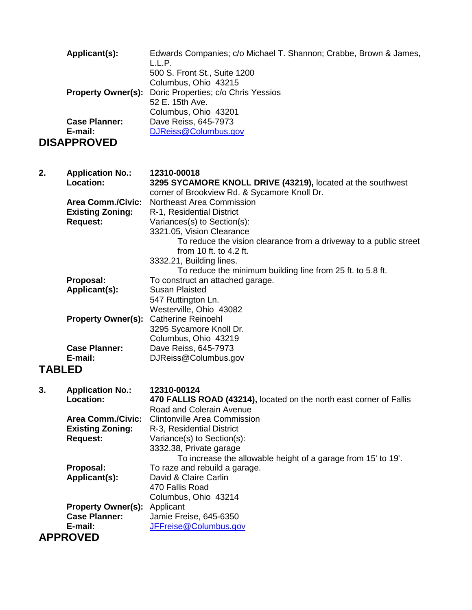| Applicant(s):<br><b>Property Owner(s):</b><br><b>Case Planner:</b><br>E-mail:                                        | Edwards Companies; c/o Michael T. Shannon; Crabbe, Brown & James,<br>L.L.P.<br>500 S. Front St., Suite 1200<br>Columbus, Ohio 43215<br>Doric Properties; c/o Chris Yessios<br>52 E. 15th Ave.<br>Columbus, Ohio 43201<br>Dave Reiss, 645-7973<br>DJReiss@Columbus.gov                                                                                                                                                                     |
|----------------------------------------------------------------------------------------------------------------------|-------------------------------------------------------------------------------------------------------------------------------------------------------------------------------------------------------------------------------------------------------------------------------------------------------------------------------------------------------------------------------------------------------------------------------------------|
| <b>DISAPPROVED</b>                                                                                                   |                                                                                                                                                                                                                                                                                                                                                                                                                                           |
| 2.<br><b>Application No.:</b><br>Location:<br><b>Area Comm./Civic:</b><br><b>Existing Zoning:</b><br><b>Request:</b> | 12310-00018<br>3295 SYCAMORE KNOLL DRIVE (43219), located at the southwest<br>corner of Brookview Rd. & Sycamore Knoll Dr.<br>Northeast Area Commission<br>R-1, Residential District<br>Variances(s) to Section(s):<br>3321.05, Vision Clearance<br>To reduce the vision clearance from a driveway to a public street<br>from 10 ft. to 4.2 ft.<br>3332.21, Building lines.<br>To reduce the minimum building line from 25 ft. to 5.8 ft. |
| Proposal:<br>Applicant(s):<br><b>Property Owner(s):</b>                                                              | To construct an attached garage.<br><b>Susan Plaisted</b><br>547 Ruttington Ln.<br>Westerville, Ohio 43082<br><b>Catherine Reinoehl</b><br>3295 Sycamore Knoll Dr.                                                                                                                                                                                                                                                                        |
| <b>Case Planner:</b><br>E-mail:<br><b>TABLED</b>                                                                     | Columbus, Ohio 43219<br>Dave Reiss, 645-7973<br>DJReiss@Columbus.gov                                                                                                                                                                                                                                                                                                                                                                      |
| <b>Application No.:</b><br>3.<br>Location:<br><b>Area Comm./Civic:</b><br><b>Existing Zoning:</b><br><b>Request:</b> | 12310-00124<br>470 FALLIS ROAD (43214), located on the north east corner of Fallis<br>Road and Colerain Avenue<br><b>Clintonville Area Commission</b><br>R-3, Residential District<br>Variance(s) to Section(s):<br>3332.38, Private garage                                                                                                                                                                                               |
| Proposal:<br>Applicant(s):<br><b>Property Owner(s):</b>                                                              | To increase the allowable height of a garage from 15' to 19'.<br>To raze and rebuild a garage.<br>David & Claire Carlin<br>470 Fallis Road<br>Columbus, Ohio 43214<br>Applicant                                                                                                                                                                                                                                                           |
| <b>Case Planner:</b><br>E-mail:<br><b>APPROVED</b>                                                                   | Jamie Freise, 645-6350<br>JFFreise@Columbus.gov                                                                                                                                                                                                                                                                                                                                                                                           |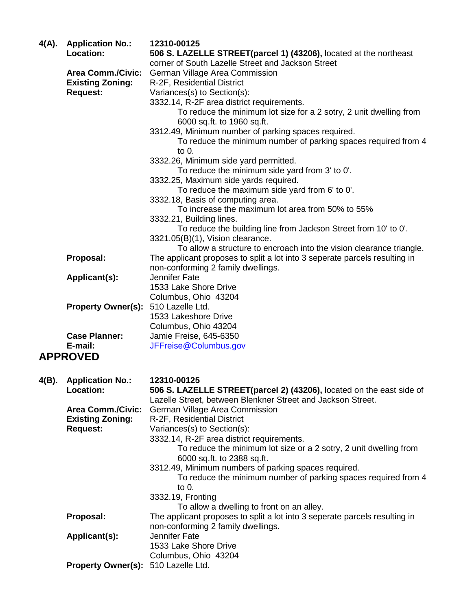| 4(A). | <b>Application No.:</b><br>Location: | 12310-00125<br>506 S. LAZELLE STREET(parcel 1) (43206), located at the northeast                                                    |
|-------|--------------------------------------|-------------------------------------------------------------------------------------------------------------------------------------|
|       |                                      | corner of South Lazelle Street and Jackson Street                                                                                   |
|       | <b>Area Comm./Civic:</b>             | German Village Area Commission                                                                                                      |
|       | <b>Existing Zoning:</b>              | R-2F, Residential District                                                                                                          |
|       | <b>Request:</b>                      | Variances(s) to Section(s):                                                                                                         |
|       |                                      | 3332.14, R-2F area district requirements.                                                                                           |
|       |                                      | To reduce the minimum lot size for a 2 sotry, 2 unit dwelling from                                                                  |
|       |                                      | 6000 sq.ft. to 1960 sq.ft.<br>3312.49, Minimum number of parking spaces required.                                                   |
|       |                                      | To reduce the minimum number of parking spaces required from 4                                                                      |
|       |                                      | to 0.                                                                                                                               |
|       |                                      | 3332.26, Minimum side yard permitted.                                                                                               |
|       |                                      | To reduce the minimum side yard from 3' to 0'.                                                                                      |
|       |                                      | 3332.25, Maximum side yards required.                                                                                               |
|       |                                      | To reduce the maximum side yard from 6' to 0'.                                                                                      |
|       |                                      | 3332.18, Basis of computing area.                                                                                                   |
|       |                                      | To increase the maximum lot area from 50% to 55%                                                                                    |
|       |                                      | 3332.21, Building lines.<br>To reduce the building line from Jackson Street from 10' to 0'.                                         |
|       |                                      | 3321.05(B)(1), Vision clearance.                                                                                                    |
|       |                                      | To allow a structure to encroach into the vision clearance triangle.                                                                |
|       | Proposal:                            | The applicant proposes to split a lot into 3 seperate parcels resulting in                                                          |
|       |                                      | non-conforming 2 family dwellings.                                                                                                  |
|       | Applicant(s):                        | Jennifer Fate                                                                                                                       |
|       |                                      | 1533 Lake Shore Drive                                                                                                               |
|       | <b>Property Owner(s):</b>            | Columbus, Ohio 43204<br>510 Lazelle Ltd.                                                                                            |
|       |                                      | 1533 Lakeshore Drive                                                                                                                |
|       |                                      | Columbus, Ohio 43204                                                                                                                |
|       | <b>Case Planner:</b>                 | Jamie Freise, 645-6350                                                                                                              |
|       | E-mail:                              | JFFreise@Columbus.gov                                                                                                               |
|       | <b>APPROVED</b>                      |                                                                                                                                     |
|       |                                      |                                                                                                                                     |
| 4(B). | <b>Application No.:</b>              | 12310-00125                                                                                                                         |
|       | Location:                            | 506 S. LAZELLE STREET(parcel 2) (43206), located on the east side of<br>Lazelle Street, between Blenkner Street and Jackson Street. |
|       | <b>Area Comm./Civic:</b>             | German Village Area Commission                                                                                                      |
|       | <b>Existing Zoning:</b>              | R-2F, Residential District                                                                                                          |
|       | <b>Request:</b>                      | Variances(s) to Section(s):                                                                                                         |
|       |                                      | 3332.14, R-2F area district requirements.                                                                                           |
|       |                                      | To reduce the minimum lot size or a 2 sotry, 2 unit dwelling from                                                                   |
|       |                                      | 6000 sq.ft. to 2388 sq.ft.                                                                                                          |
|       |                                      | 3312.49, Minimum numbers of parking spaces required.                                                                                |
|       |                                      | To reduce the minimum number of parking spaces required from 4<br>to 0.                                                             |
|       |                                      | 3332.19, Fronting                                                                                                                   |
|       |                                      | To allow a dwelling to front on an alley.                                                                                           |
|       | Proposal:                            | The applicant proposes to split a lot into 3 seperate parcels resulting in                                                          |
|       |                                      | non-conforming 2 family dwellings.                                                                                                  |
|       | Applicant(s):                        | Jennifer Fate                                                                                                                       |
|       |                                      | 1533 Lake Shore Drive                                                                                                               |
|       |                                      | Columbus, Ohio 43204                                                                                                                |
|       | <b>Property Owner(s):</b>            | 510 Lazelle Ltd.                                                                                                                    |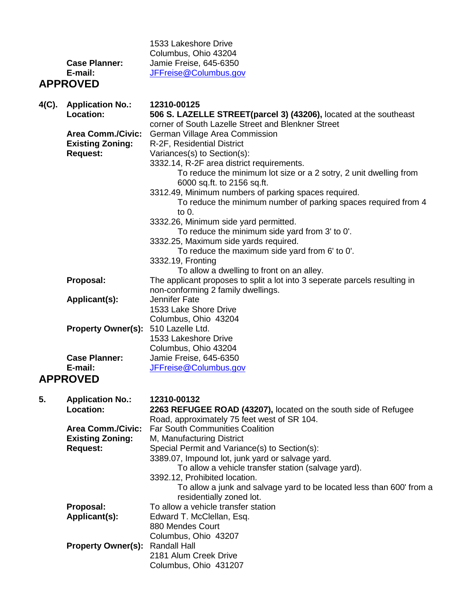|       | <b>Case Planner:</b><br>E-mail:<br><b>APPROVED</b>                     | 1533 Lakeshore Drive<br>Columbus, Ohio 43204<br>Jamie Freise, 645-6350<br>JFFreise@Columbus.gov                                                                                                                                                                                                   |
|-------|------------------------------------------------------------------------|---------------------------------------------------------------------------------------------------------------------------------------------------------------------------------------------------------------------------------------------------------------------------------------------------|
| 4(C). | <b>Application No.:</b><br>Location:                                   | 12310-00125<br>506 S. LAZELLE STREET(parcel 3) (43206), located at the southeast                                                                                                                                                                                                                  |
|       | <b>Area Comm./Civic:</b><br><b>Existing Zoning:</b><br><b>Request:</b> | corner of South Lazelle Street and Blenkner Street<br>German Village Area Commission<br>R-2F, Residential District<br>Variances(s) to Section(s):<br>3332.14, R-2F area district requirements.<br>To reduce the minimum lot size or a 2 sotry, 2 unit dwelling from<br>6000 sq.ft. to 2156 sq.ft. |
|       |                                                                        | 3312.49, Minimum numbers of parking spaces required.<br>To reduce the minimum number of parking spaces required from 4<br>to $0.$<br>3332.26, Minimum side yard permitted.                                                                                                                        |
|       |                                                                        | To reduce the minimum side yard from 3' to 0'.<br>3332.25, Maximum side yards required.<br>To reduce the maximum side yard from 6' to 0'.<br>3332.19, Fronting<br>To allow a dwelling to front on an alley.                                                                                       |
|       | Proposal:                                                              | The applicant proposes to split a lot into 3 seperate parcels resulting in<br>non-conforming 2 family dwellings.                                                                                                                                                                                  |
|       | Applicant(s):                                                          | Jennifer Fate<br>1533 Lake Shore Drive<br>Columbus, Ohio 43204                                                                                                                                                                                                                                    |
|       | <b>Property Owner(s):</b>                                              | 510 Lazelle Ltd.<br>1533 Lakeshore Drive<br>Columbus, Ohio 43204                                                                                                                                                                                                                                  |
|       | <b>Case Planner:</b><br>E-mail:<br><b>APPROVED</b>                     | Jamie Freise, 645-6350<br>JFFreise@Columbus.gov                                                                                                                                                                                                                                                   |
|       |                                                                        |                                                                                                                                                                                                                                                                                                   |
| 5.    | <b>Application No.:</b><br>Location:                                   | 12310-00132<br>2263 REFUGEE ROAD (43207), located on the south side of Refugee<br>Road, approximately 75 feet west of SR 104.                                                                                                                                                                     |
|       | <b>Area Comm./Civic:</b><br><b>Existing Zoning:</b><br><b>Request:</b> | <b>Far South Communities Coalition</b><br>M, Manufacturing District<br>Special Permit and Variance(s) to Section(s):<br>3389.07, Impound lot, junk yard or salvage yard.<br>To allow a vehicle transfer station (salvage yard).                                                                   |
|       |                                                                        | 3392.12, Prohibited location.<br>To allow a junk and salvage yard to be located less than 600' from a<br>residentially zoned lot.                                                                                                                                                                 |
|       | Proposal:<br>Applicant(s):                                             | To allow a vehicle transfer station<br>Edward T. McClellan, Esq.<br>880 Mendes Court<br>Columbus, Ohio 43207                                                                                                                                                                                      |
|       | <b>Property Owner(s):</b>                                              | <b>Randall Hall</b><br>2181 Alum Creek Drive<br>Columbus, Ohio 431207                                                                                                                                                                                                                             |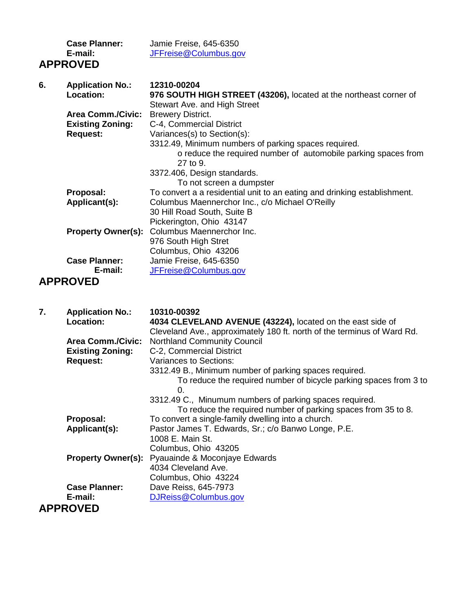|    | <b>Case Planner:</b><br>E-mail:      | Jamie Freise, 645-6350<br>JFFreise@Columbus.gov                                                                                    |
|----|--------------------------------------|------------------------------------------------------------------------------------------------------------------------------------|
|    | <b>APPROVED</b>                      |                                                                                                                                    |
| 6. | <b>Application No.:</b><br>Location: | 12310-00204<br>976 SOUTH HIGH STREET (43206), located at the northeast corner of                                                   |
|    |                                      | Stewart Ave. and High Street                                                                                                       |
|    | <b>Area Comm./Civic:</b>             | <b>Brewery District.</b>                                                                                                           |
|    | <b>Existing Zoning:</b>              | C-4, Commercial District                                                                                                           |
|    | <b>Request:</b>                      | Variances(s) to Section(s):                                                                                                        |
|    |                                      | 3312.49, Minimum numbers of parking spaces required.<br>o reduce the required number of automobile parking spaces from<br>27 to 9. |
|    |                                      | 3372.406, Design standards.                                                                                                        |
|    |                                      | To not screen a dumpster                                                                                                           |
|    | Proposal:                            | To convert a a residential unit to an eating and drinking establishment.                                                           |
|    | Applicant(s):                        | Columbus Maennerchor Inc., c/o Michael O'Reilly                                                                                    |
|    |                                      | 30 Hill Road South, Suite B<br>Pickerington, Ohio 43147                                                                            |
|    |                                      | Property Owner(s): Columbus Maennerchor Inc.                                                                                       |
|    |                                      | 976 South High Stret                                                                                                               |
|    |                                      | Columbus, Ohio 43206                                                                                                               |
|    | <b>Case Planner:</b>                 | Jamie Freise, 645-6350                                                                                                             |
|    | E-mail:                              | JFFreise@Columbus.gov                                                                                                              |
| .  |                                      |                                                                                                                                    |

## **APPROVED**

| 7. | <b>Application No.:</b><br>Location: | 10310-00392<br>4034 CLEVELAND AVENUE (43224), located on the east side of<br>Cleveland Ave., approximately 180 ft. north of the terminus of Ward Rd. |
|----|--------------------------------------|------------------------------------------------------------------------------------------------------------------------------------------------------|
|    | <b>Area Comm./Civic:</b>             | <b>Northland Community Council</b>                                                                                                                   |
|    | <b>Existing Zoning:</b>              | C-2, Commercial District                                                                                                                             |
|    | <b>Request:</b>                      | Variances to Sections:                                                                                                                               |
|    |                                      | 3312.49 B., Minimum number of parking spaces required.                                                                                               |
|    |                                      | To reduce the required number of bicycle parking spaces from 3 to                                                                                    |
|    |                                      | 0.                                                                                                                                                   |
|    |                                      | 3312.49 C., Minumum numbers of parking spaces required.                                                                                              |
|    |                                      | To reduce the required number of parking spaces from 35 to 8.                                                                                        |
|    | Proposal:                            | To convert a single-family dwelling into a church.                                                                                                   |
|    | Applicant(s):                        | Pastor James T. Edwards, Sr.; c/o Banwo Longe, P.E.                                                                                                  |
|    |                                      | 1008 E. Main St.                                                                                                                                     |
|    |                                      | Columbus, Ohio 43205                                                                                                                                 |
|    |                                      | <b>Property Owner(s):</b> Pyauainde & Moconjaye Edwards                                                                                              |
|    |                                      | 4034 Cleveland Ave.                                                                                                                                  |
|    |                                      | Columbus, Ohio 43224                                                                                                                                 |
|    | <b>Case Planner:</b>                 | Dave Reiss, 645-7973                                                                                                                                 |
|    | E-mail:                              | DJReiss@Columbus.gov                                                                                                                                 |
|    | <b>APPROVED</b>                      |                                                                                                                                                      |